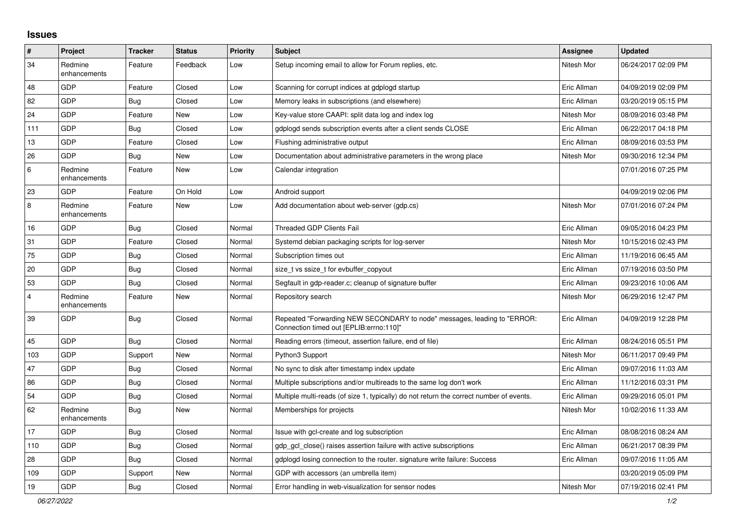## **Issues**

| $\vert$ #      | Project                 | <b>Tracker</b> | <b>Status</b> | <b>Priority</b> | <b>Subject</b>                                                                                                      | <b>Assignee</b> | <b>Updated</b>      |
|----------------|-------------------------|----------------|---------------|-----------------|---------------------------------------------------------------------------------------------------------------------|-----------------|---------------------|
| 34             | Redmine<br>enhancements | Feature        | Feedback      | Low             | Setup incoming email to allow for Forum replies, etc.                                                               | Nitesh Mor      | 06/24/2017 02:09 PM |
| 48             | GDP                     | Feature        | Closed        | Low             | Scanning for corrupt indices at gdplogd startup                                                                     | Eric Allman     | 04/09/2019 02:09 PM |
| 82             | GDP                     | Bug            | Closed        | Low             | Memory leaks in subscriptions (and elsewhere)                                                                       | Eric Allman     | 03/20/2019 05:15 PM |
| 24             | GDP                     | Feature        | New           | Low             | Key-value store CAAPI: split data log and index log                                                                 | Nitesh Mor      | 08/09/2016 03:48 PM |
| 111            | GDP                     | Bug            | Closed        | Low             | gdplogd sends subscription events after a client sends CLOSE                                                        | Eric Allman     | 06/22/2017 04:18 PM |
| 13             | GDP                     | Feature        | Closed        | Low             | Flushing administrative output                                                                                      | Eric Allman     | 08/09/2016 03:53 PM |
| 26             | GDP                     | Bug            | New           | Low             | Documentation about administrative parameters in the wrong place                                                    | Nitesh Mor      | 09/30/2016 12:34 PM |
| $\,6\,$        | Redmine<br>enhancements | Feature        | New           | Low             | Calendar integration                                                                                                |                 | 07/01/2016 07:25 PM |
| 23             | GDP                     | Feature        | On Hold       | Low             | Android support                                                                                                     |                 | 04/09/2019 02:06 PM |
| 8              | Redmine<br>enhancements | Feature        | <b>New</b>    | Low             | Add documentation about web-server (gdp.cs)                                                                         | Nitesh Mor      | 07/01/2016 07:24 PM |
| 16             | GDP                     | <b>Bug</b>     | Closed        | Normal          | <b>Threaded GDP Clients Fail</b>                                                                                    | Eric Allman     | 09/05/2016 04:23 PM |
| 31             | GDP                     | Feature        | Closed        | Normal          | Systemd debian packaging scripts for log-server                                                                     | Nitesh Mor      | 10/15/2016 02:43 PM |
| 75             | GDP                     | <b>Bug</b>     | Closed        | Normal          | Subscription times out                                                                                              | Eric Allman     | 11/19/2016 06:45 AM |
| 20             | GDP                     | Bug            | Closed        | Normal          | size t vs ssize t for evbuffer copyout                                                                              | Eric Allman     | 07/19/2016 03:50 PM |
| 53             | GDP                     | Bug            | Closed        | Normal          | Segfault in gdp-reader.c; cleanup of signature buffer                                                               | Eric Allman     | 09/23/2016 10:06 AM |
| $\overline{4}$ | Redmine<br>enhancements | Feature        | New           | Normal          | Repository search                                                                                                   | Nitesh Mor      | 06/29/2016 12:47 PM |
| 39             | GDP                     | <b>Bug</b>     | Closed        | Normal          | Repeated "Forwarding NEW SECONDARY to node" messages, leading to "ERROR:<br>"Connection timed out [EPLIB:errno:110] | Eric Allman     | 04/09/2019 12:28 PM |
| 45             | GDP                     | Bug            | Closed        | Normal          | Reading errors (timeout, assertion failure, end of file)                                                            | Eric Allman     | 08/24/2016 05:51 PM |
| 103            | GDP                     | Support        | New           | Normal          | Python3 Support                                                                                                     | Nitesh Mor      | 06/11/2017 09:49 PM |
| 47             | <b>GDP</b>              | Bug            | Closed        | Normal          | No sync to disk after timestamp index update                                                                        | Eric Allman     | 09/07/2016 11:03 AM |
| 86             | GDP                     | Bug            | Closed        | Normal          | Multiple subscriptions and/or multireads to the same log don't work                                                 | Eric Allman     | 11/12/2016 03:31 PM |
| 54             | GDP                     | Bug            | Closed        | Normal          | Multiple multi-reads (of size 1, typically) do not return the correct number of events.                             | Eric Allman     | 09/29/2016 05:01 PM |
| 62             | Redmine<br>enhancements | Bug            | New           | Normal          | Memberships for projects                                                                                            | Nitesh Mor      | 10/02/2016 11:33 AM |
| 17             | GDP                     | <b>Bug</b>     | Closed        | Normal          | Issue with gcl-create and log subscription                                                                          | Eric Allman     | 08/08/2016 08:24 AM |
| 110            | GDP                     | <b>Bug</b>     | Closed        | Normal          | gdp_gcl_close() raises assertion failure with active subscriptions                                                  | Eric Allman     | 06/21/2017 08:39 PM |
| 28             | GDP                     | Bug            | Closed        | Normal          | gdplogd losing connection to the router, signature write failure: Success                                           | Eric Allman     | 09/07/2016 11:05 AM |
| 109            | GDP                     | Support        | New           | Normal          | GDP with accessors (an umbrella item)                                                                               |                 | 03/20/2019 05:09 PM |
| 19             | GDP                     | Bug            | Closed        | Normal          | Error handling in web-visualization for sensor nodes                                                                | Nitesh Mor      | 07/19/2016 02:41 PM |